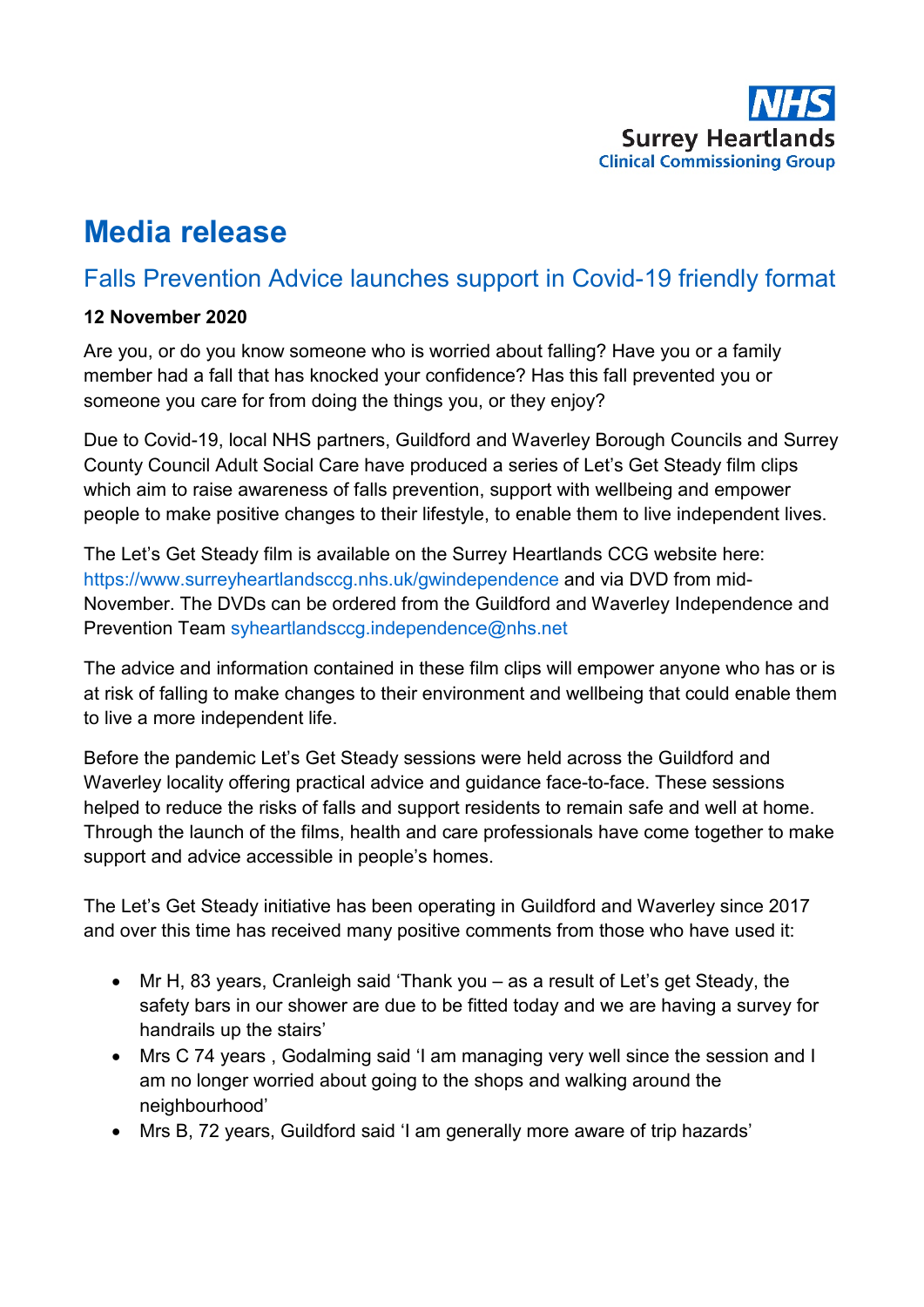

# **Media release**

# Falls Prevention Advice launches support in Covid-19 friendly format

### **12 November 2020**

Are you, or do you know someone who is worried about falling? Have you or a family member had a fall that has knocked your confidence? Has this fall prevented you or someone you care for from doing the things you, or they enjoy?

Due to Covid-19, local NHS partners, Guildford and Waverley Borough Councils and Surrey County Council Adult Social Care have produced a series of Let's Get Steady film clips which aim to raise awareness of falls prevention, support with wellbeing and empower people to make positive changes to their lifestyle, to enable them to live independent lives.

The Let's Get Steady film is available on the Surrey Heartlands CCG website here: <https://www.surreyheartlandsccg.nhs.uk/gwindependence> and via DVD from mid-November. The DVDs can be ordered from the Guildford and Waverley Independence and Prevention Team [syheartlandsccg.independence@nhs.net](mailto:syheartlandsccg.independence@nhs.net)

The advice and information contained in these film clips will empower anyone who has or is at risk of falling to make changes to their environment and wellbeing that could enable them to live a more independent life.

Before the pandemic Let's Get Steady sessions were held across the Guildford and Waverley locality offering practical advice and guidance face-to-face. These sessions helped to reduce the risks of falls and support residents to remain safe and well at home. Through the launch of the films, health and care professionals have come together to make support and advice accessible in people's homes.

The Let's Get Steady initiative has been operating in Guildford and Waverley since 2017 and over this time has received many positive comments from those who have used it:

- Mr H, 83 years, Cranleigh said 'Thank you as a result of Let's get Steady, the safety bars in our shower are due to be fitted today and we are having a survey for handrails up the stairs'
- Mrs C 74 years , Godalming said 'I am managing very well since the session and I am no longer worried about going to the shops and walking around the neighbourhood'
- Mrs B, 72 years, Guildford said 'I am generally more aware of trip hazards'